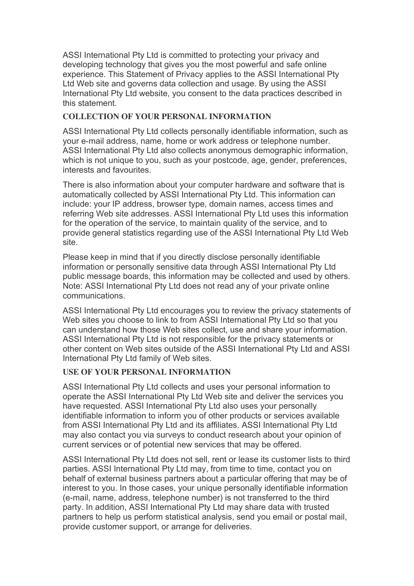ASSI International Pty Ltd is committed to protecting your privacy and developing technology that gives you the most powerful and safe online experience. This Statement of Privacy applies to the ASSI International Pty Ltd Web site and governs data collection and usage. By using the ASSI International Pty Ltd website, you consent to the data practices described in this statement.

## **COLLECTION OF YOUR PERSONAL INFORMATION**

ASSI International Pty Ltd collects personally identifiable information, such as your e-mail address, name, home or work address or telephone number. ASSI International Pty Ltd also collects anonymous demographic information, which is not unique to you, such as your postcode, age, gender, preferences, interests and favourites.

There is also information about your computer hardware and software that is automatically collected by ASSI International Pty Ltd. This information can include: your IP address, browser type, domain names, access times and referring Web site addresses. ASSI International Pty Ltd uses this information for the operation of the service, to maintain quality of the service, and to provide general statistics regarding use of the ASSI International Pty Ltd Web site.

Please keep in mind that if you directly disclose personally identifiable information or personally sensitive data through ASSI International Pty Ltd public message boards, this information may be collected and used by others. Note: ASSI International Pty Ltd does not read any of your private online communications.

ASSI International Pty Ltd encourages you to review the privacy statements of Web sites you choose to link to from ASSI International Pty Ltd so that you can understand how those Web sites collect, use and share your information. ASSI International Pty Ltd is not responsible for the privacy statements or other content on Web sites outside of the ASSI International Pty Ltd and ASSI International Pty Ltd family of Web sites.

### **USE OF YOUR PERSONAL INFORMATION**

ASSI International Pty Ltd collects and uses your personal information to operate the ASSI International Pty Ltd Web site and deliver the services you have requested. ASSI International Pty Ltd also uses your personally identifiable information to inform you of other products or services available from ASSI International Pty Ltd and its affiliates. ASSI International Pty Ltd may also contact you via surveys to conduct research about your opinion of current services or of potential new services that may be offered.

ASSI International Pty Ltd does not sell, rent or lease its customer lists to third parties. ASSI International Pty Ltd may, from time to time, contact you on behalf of external business partners about a particular offering that may be of interest to you. In those cases, your unique personally identifiable information (e-mail, name, address, telephone number) is not transferred to the third party. In addition, ASSI International Pty Ltd may share data with trusted partners to help us perform statistical analysis, send you email or postal mail, provide customer support, or arrange for deliveries.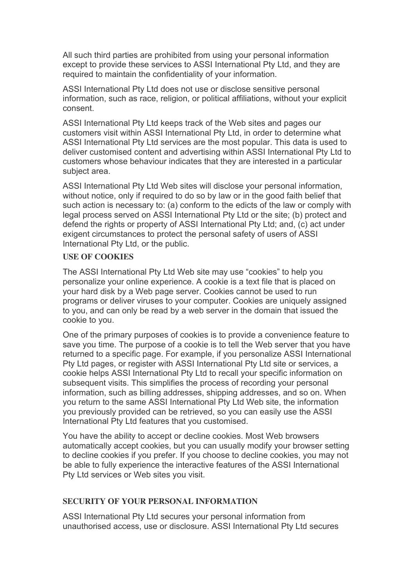All such third parties are prohibited from using your personal information except to provide these services to ASSI International Pty Ltd, and they are required to maintain the confidentiality of your information.

ASSI International Pty Ltd does not use or disclose sensitive personal information, such as race, religion, or political affiliations, without your explicit consent.

ASSI International Pty Ltd keeps track of the Web sites and pages our customers visit within ASSI International Pty Ltd, in order to determine what ASSI International Pty Ltd services are the most popular. This data is used to deliver customised content and advertising within ASSI International Pty Ltd to customers whose behaviour indicates that they are interested in a particular subject area.

ASSI International Pty Ltd Web sites will disclose your personal information, without notice, only if required to do so by law or in the good faith belief that such action is necessary to: (a) conform to the edicts of the law or comply with legal process served on ASSI International Pty Ltd or the site; (b) protect and defend the rights or property of ASSI International Pty Ltd; and, (c) act under exigent circumstances to protect the personal safety of users of ASSI International Pty Ltd, or the public.

# **USE OF COOKIES**

The ASSI International Pty Ltd Web site may use "cookies" to help you personalize your online experience. A cookie is a text file that is placed on your hard disk by a Web page server. Cookies cannot be used to run programs or deliver viruses to your computer. Cookies are uniquely assigned to you, and can only be read by a web server in the domain that issued the cookie to you.

One of the primary purposes of cookies is to provide a convenience feature to save you time. The purpose of a cookie is to tell the Web server that you have returned to a specific page. For example, if you personalize ASSI International Pty Ltd pages, or register with ASSI International Pty Ltd site or services, a cookie helps ASSI International Pty Ltd to recall your specific information on subsequent visits. This simplifies the process of recording your personal information, such as billing addresses, shipping addresses, and so on. When you return to the same ASSI International Pty Ltd Web site, the information you previously provided can be retrieved, so you can easily use the ASSI International Pty Ltd features that you customised.

You have the ability to accept or decline cookies. Most Web browsers automatically accept cookies, but you can usually modify your browser setting to decline cookies if you prefer. If you choose to decline cookies, you may not be able to fully experience the interactive features of the ASSI International Pty Ltd services or Web sites you visit.

#### **SECURITY OF YOUR PERSONAL INFORMATION**

ASSI International Pty Ltd secures your personal information from unauthorised access, use or disclosure. ASSI International Pty Ltd secures